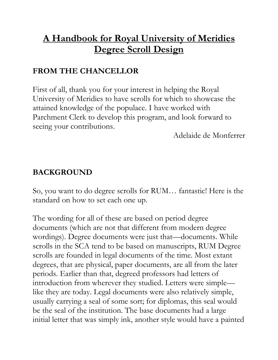# **A Handbook for Royal University of Meridies Degree Scroll Design**

### **FROM THE CHANCELLOR**

First of all, thank you for your interest in helping the Royal University of Meridies to have scrolls for which to showcase the attained knowledge of the populace. I have worked with Parchment Clerk to develop this program, and look forward to seeing your contributions.

Adelaide de Monferrer

#### **BACKGROUND**

So, you want to do degree scrolls for RUM… fantastic! Here is the standard on how to set each one up.

The wording for all of these are based on period degree documents (which are not that different from modern degree wordings). Degree documents were just that—documents. While scrolls in the SCA tend to be based on manuscripts, RUM Degree scrolls are founded in legal documents of the time. Most extant degrees, that are physical, paper documents, are all from the later periods. Earlier than that, degreed professors had letters of introduction from wherever they studied. Letters were simple like they are today. Legal documents were also relatively simple, usually carrying a seal of some sort; for diplomas, this seal would be the seal of the institution. The base documents had a large initial letter that was simply ink, another style would have a painted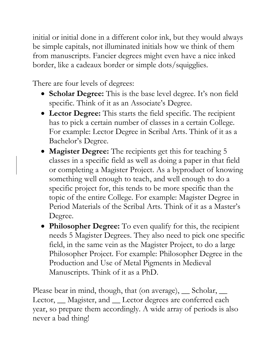initial or initial done in a different color ink, but they would always be simple capitals, not illuminated initials how we think of them from manuscripts. Fancier degrees might even have a nice inked border, like a cadeaux border or simple dots/squigglies.

There are four levels of degrees:

- **Scholar Degree:** This is the base level degree. It's non field specific. Think of it as an Associate's Degree.
- **Lector Degree:** This starts the field specific. The recipient has to pick a certain number of classes in a certain College. For example: Lector Degree in Scribal Arts. Think of it as a Bachelor's Degree.
- **Magister Degree:** The recipients get this for teaching 5 classes in a specific field as well as doing a paper in that field or completing a Magister Project. As a byproduct of knowing something well enough to teach, and well enough to do a specific project for, this tends to be more specific than the topic of the entire College. For example: Magister Degree in Period Materials of the Scribal Arts. Think of it as a Master's Degree.
- **Philosopher Degree:** To even qualify for this, the recipient needs 5 Magister Degrees. They also need to pick one specific field, in the same vein as the Magister Project, to do a large Philosopher Project. For example: Philosopher Degree in the Production and Use of Metal Pigments in Medieval Manuscripts. Think of it as a PhD.

Please bear in mind, though, that (on average), Scholar, Lector, <u>Magister</u>, and Lector degrees are conferred each year, so prepare them accordingly. A wide array of periods is also never a bad thing!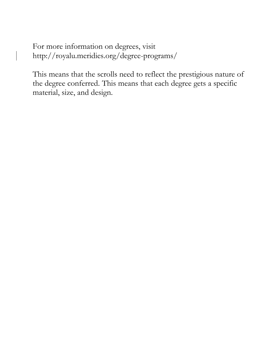For more information on degrees, visit http://royalu.meridies.org/degree-programs/

This means that the scrolls need to reflect the prestigious nature of the degree conferred. This means that each degree gets a specific material, size, and design.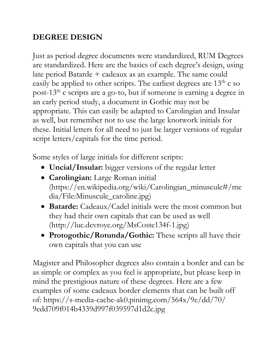## **DEGREE DESIGN**

Just as period degree documents were standardized, RUM Degrees are standardized. Here are the basics of each degree's design, using late period Batarde + cadeaux as an example. The same could easily be applied to other scripts. The earliest degrees are  $13<sup>th</sup>$  c so post-13<sup>th</sup> c scripts are a go-to, but if someone is earning a degree in an early period study, a document in Gothic may not be appropriate. This can easily be adapted to Carolingian and Insular as well, but remember not to use the large knotwork initials for these. Initial letters for all need to just be larger versions of regular script letters/capitals for the time period.

Some styles of large initials for different scripts:

- **Uncial/Insular:** bigger versions of the regular letter
- **Carolingian:** Large Roman initial (https://en.wikipedia.org/wiki/Carolingian\_minuscule#/me dia/File:Minuscule\_caroline.jpg)
- **Batarde:** Cadeaux/Cadel initials were the most common but they had their own capitals that can be used as well (http://luc.devroye.org/MsCoste134f-1.jpg)
- **Protogothic/Rotunda/Gothic:** These scripts all have their own capitals that you can use

Magister and Philosopher degrees also contain a border and can be as simple or complex as you feel is appropriate, but please keep in mind the prestigious nature of these degrees. Here are a few examples of some cadeaux border elements that can be built off of: https://s-media-cache-ak0.pinimg.com/564x/9e/dd/70/ 9edd709f014b4339d997f039597d1d2c.jpg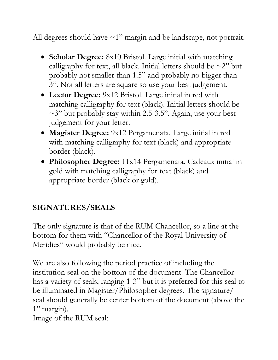All degrees should have  $\sim$ 1" margin and be landscape, not portrait.

- **Scholar Degree:** 8x10 Bristol. Large initial with matching calligraphy for text, all black. Initial letters should be  $\sim$ 2" but probably not smaller than 1.5" and probably no bigger than 3". Not all letters are square so use your best judgement.
- **Lector Degree:** 9x12 Bristol. Large initial in red with matching calligraphy for text (black). Initial letters should be  $\sim$ 3" but probably stay within 2.5-3.5". Again, use your best judgement for your letter.
- **Magister Degree:** 9x12 Pergamenata. Large initial in red with matching calligraphy for text (black) and appropriate border (black).
- **Philosopher Degree:** 11x14 Pergamenata. Cadeaux initial in gold with matching calligraphy for text (black) and appropriate border (black or gold).

### **SIGNATURES/SEALS**

The only signature is that of the RUM Chancellor, so a line at the bottom for them with "Chancellor of the Royal University of Meridies" would probably be nice.

We are also following the period practice of including the institution seal on the bottom of the document. The Chancellor has a variety of seals, ranging 1-3" but it is preferred for this seal to be illuminated in Magister/Philosopher degrees. The signature/ seal should generally be center bottom of the document (above the 1" margin).

Image of the RUM seal: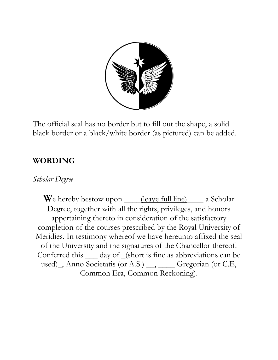

The official seal has no border but to fill out the shape, a solid black border or a black/white border (as pictured) can be added.

#### **WORDING**

#### *Scholar Degree*

**W**e hereby bestow upon <u>(leave full line)</u> a Scholar Degree, together with all the rights, privileges, and honors appertaining thereto in consideration of the satisfactory completion of the courses prescribed by the Royal University of Meridies. In testimony whereof we have hereunto affixed the seal of the University and the signatures of the Chancellor thereof. Conferred this \_\_\_ day of \_(short is fine as abbreviations can be used), Anno Societatis (or A.S.) \_, \_\_\_\_ Gregorian (or C.E, Common Era, Common Reckoning).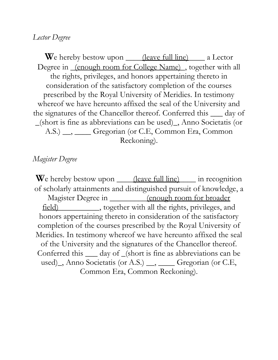#### *Lector Degree*

**W**e hereby bestow upon <u>(leave full line)</u> a Lector Degree in <u>(enough room for College Name)</u>, together with all the rights, privileges, and honors appertaining thereto in consideration of the satisfactory completion of the courses prescribed by the Royal University of Meridies. In testimony whereof we have hereunto affixed the seal of the University and the signatures of the Chancellor thereof. Conferred this \_\_\_ day of \_(short is fine as abbreviations can be used)\_, Anno Societatis (or A.S.) \_\_, \_\_\_\_ Gregorian (or C.E, Common Era, Common Reckoning).

#### *Magister Degree*

We hereby bestow upon <u>(leave full line)</u> in recognition of scholarly attainments and distinguished pursuit of knowledge, a Magister Degree in \_\_\_\_\_\_\_\_\_(enough room for broader field)\_\_\_\_\_\_\_\_\_\_, together with all the rights, privileges, and honors appertaining thereto in consideration of the satisfactory completion of the courses prescribed by the Royal University of Meridies. In testimony whereof we have hereunto affixed the seal of the University and the signatures of the Chancellor thereof. Conferred this \_\_\_ day of \_(short is fine as abbreviations can be used), Anno Societatis (or A.S.)  $\_\_\_\_\_\_\_\_\$  Gregorian (or C.E. Common Era, Common Reckoning).